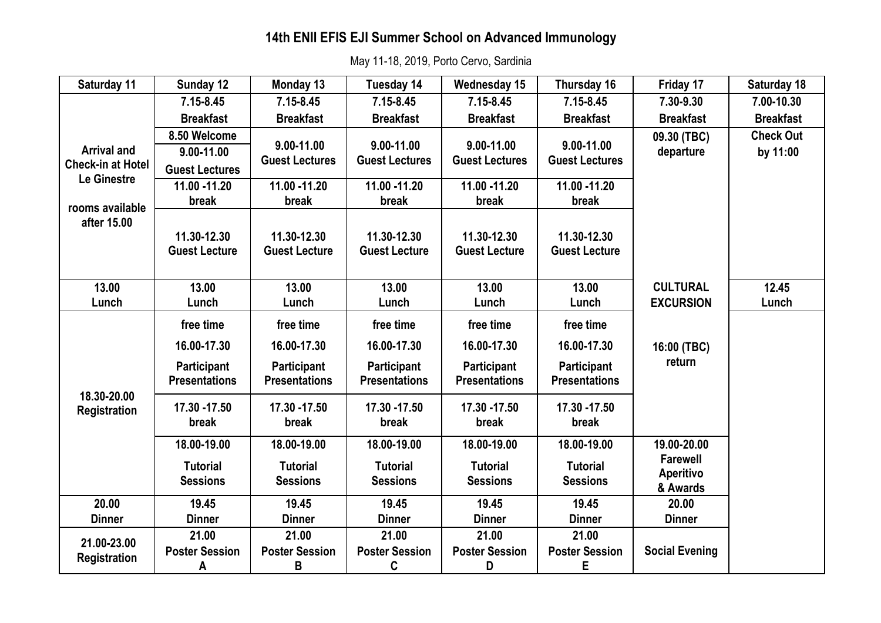# **14th ENII EFIS EJI Summer School on Advanced Immunology**

May 11-18, 2019, Porto Cervo, Sardinia

| Saturday 11                                                   | Sunday 12                                                              | Monday 13                                                       | Tuesday 14                                                             | <b>Wednesday 15</b>                                                    | Thursday 16                                                            | Friday 17                                       | Saturday 18                  |
|---------------------------------------------------------------|------------------------------------------------------------------------|-----------------------------------------------------------------|------------------------------------------------------------------------|------------------------------------------------------------------------|------------------------------------------------------------------------|-------------------------------------------------|------------------------------|
|                                                               | $7.15 - 8.45$                                                          | $7.15 - 8.45$                                                   | $7.15 - 8.45$                                                          | $7.15 - 8.45$                                                          | $7.15 - 8.45$                                                          | 7.30-9.30                                       | 7.00-10.30                   |
|                                                               | <b>Breakfast</b>                                                       | <b>Breakfast</b>                                                | <b>Breakfast</b>                                                       | <b>Breakfast</b>                                                       | <b>Breakfast</b>                                                       | <b>Breakfast</b>                                | <b>Breakfast</b>             |
| <b>Arrival and</b><br><b>Check-in at Hotel</b><br>Le Ginestre | 8.50 Welcome<br>9.00-11.00<br><b>Guest Lectures</b>                    | 9.00-11.00<br><b>Guest Lectures</b>                             | 9.00-11.00<br><b>Guest Lectures</b>                                    | 9.00-11.00<br><b>Guest Lectures</b>                                    | 9.00-11.00<br><b>Guest Lectures</b>                                    | 09.30 (TBC)<br>departure                        | <b>Check Out</b><br>by 11:00 |
|                                                               | 11.00 -11.20                                                           | 11.00 -11.20                                                    | 11.00 -11.20                                                           | 11.00 -11.20                                                           | 11.00 -11.20                                                           |                                                 |                              |
| rooms available                                               | break                                                                  | break                                                           | break                                                                  | break                                                                  | break                                                                  |                                                 |                              |
| after 15.00                                                   | 11.30-12.30<br><b>Guest Lecture</b>                                    | 11.30-12.30<br><b>Guest Lecture</b>                             | 11.30-12.30<br><b>Guest Lecture</b>                                    | 11.30-12.30<br><b>Guest Lecture</b>                                    | 11.30-12.30<br><b>Guest Lecture</b>                                    |                                                 |                              |
| 13.00                                                         | 13.00                                                                  | 13.00                                                           | 13.00                                                                  | 13.00                                                                  | 13.00                                                                  | <b>CULTURAL</b>                                 | 12.45                        |
| Lunch                                                         | Lunch                                                                  | Lunch                                                           | Lunch                                                                  | Lunch                                                                  | Lunch                                                                  | <b>EXCURSION</b>                                | Lunch                        |
| 18.30-20.00<br><b>Registration</b>                            | free time<br>16.00-17.30<br><b>Participant</b><br><b>Presentations</b> | free time<br>16.00-17.30<br>Participant<br><b>Presentations</b> | free time<br>16.00-17.30<br><b>Participant</b><br><b>Presentations</b> | free time<br>16.00-17.30<br><b>Participant</b><br><b>Presentations</b> | free time<br>16.00-17.30<br><b>Participant</b><br><b>Presentations</b> | 16:00 (TBC)<br>return                           |                              |
|                                                               | 17.30 - 17.50<br>break                                                 | 17.30 - 17.50<br>break                                          | 17.30 - 17.50<br>break                                                 | 17.30 - 17.50<br>break                                                 | 17.30 - 17.50<br>break                                                 |                                                 |                              |
|                                                               | 18.00-19.00                                                            | 18.00-19.00                                                     | 18.00-19.00                                                            | 18.00-19.00                                                            | 18.00-19.00                                                            | 19.00-20.00                                     |                              |
|                                                               | <b>Tutorial</b><br><b>Sessions</b>                                     | <b>Tutorial</b><br><b>Sessions</b>                              | <b>Tutorial</b><br><b>Sessions</b>                                     | <b>Tutorial</b><br><b>Sessions</b>                                     | <b>Tutorial</b><br><b>Sessions</b>                                     | <b>Farewell</b><br><b>Aperitivo</b><br>& Awards |                              |
| 20.00                                                         | 19.45                                                                  | 19.45                                                           | 19.45                                                                  | 19.45                                                                  | 19.45                                                                  | 20.00                                           |                              |
| <b>Dinner</b>                                                 | <b>Dinner</b>                                                          | <b>Dinner</b>                                                   | <b>Dinner</b>                                                          | <b>Dinner</b>                                                          | <b>Dinner</b>                                                          | <b>Dinner</b>                                   |                              |
| 21.00-23.00<br><b>Registration</b>                            | 21.00                                                                  | 21.00                                                           | 21.00                                                                  | 21.00                                                                  | 21.00                                                                  |                                                 |                              |
|                                                               | <b>Poster Session</b><br>A                                             | <b>Poster Session</b><br>B                                      | <b>Poster Session</b><br>C                                             | <b>Poster Session</b><br>D                                             | <b>Poster Session</b><br>Е                                             | <b>Social Evening</b>                           |                              |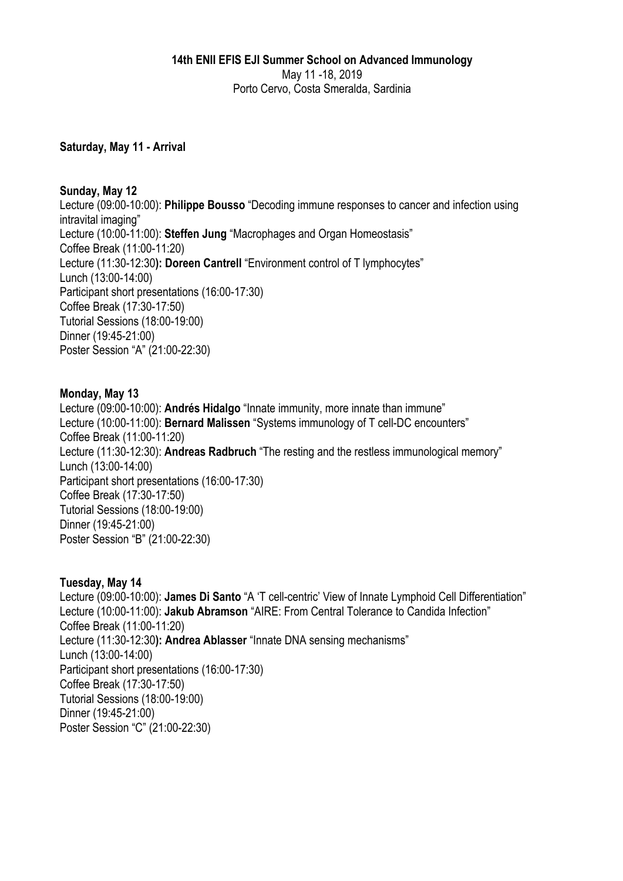#### **14th ENII EFIS EJI Summer School on Advanced Immunology**  May 11 -18, 2019 Porto Cervo, Costa Smeralda, Sardinia

### **Saturday, May 11 - Arrival**

#### **Sunday, May 12**

Lecture (09:00-10:00): **Philippe Bousso** "Decoding immune responses to cancer and infection using intravital imaging" Lecture (10:00-11:00): **Steffen Jung** "Macrophages and Organ Homeostasis" Coffee Break (11:00-11:20) Lecture (11:30-12:30**): Doreen Cantrell** "Environment control of T lymphocytes" Lunch (13:00-14:00) Participant short presentations (16:00-17:30) Coffee Break (17:30-17:50) Tutorial Sessions (18:00-19:00) Dinner (19:45-21:00) Poster Session "A" (21:00-22:30)

#### **Monday, May 13**

Lecture (09:00-10:00): **Andrés Hidalgo** "Innate immunity, more innate than immune" Lecture (10:00-11:00): **Bernard Malissen** "Systems immunology of T cell-DC encounters" Coffee Break (11:00-11:20) Lecture (11:30-12:30): **Andreas Radbruch** "The resting and the restless immunological memory" Lunch (13:00-14:00) Participant short presentations (16:00-17:30) Coffee Break (17:30-17:50) Tutorial Sessions (18:00-19:00) Dinner (19:45-21:00) Poster Session "B" (21:00-22:30)

### **Tuesday, May 14**

Lecture (09:00-10:00): **James Di Santo** "A 'T cell-centric' View of Innate Lymphoid Cell Differentiation" Lecture (10:00-11:00): **Jakub Abramson** "AIRE: From Central Tolerance to Candida Infection" Coffee Break (11:00-11:20) Lecture (11:30-12:30**): Andrea Ablasser** "Innate DNA sensing mechanisms" Lunch (13:00-14:00) Participant short presentations (16:00-17:30) Coffee Break (17:30-17:50) Tutorial Sessions (18:00-19:00) Dinner (19:45-21:00) Poster Session "C" (21:00-22:30)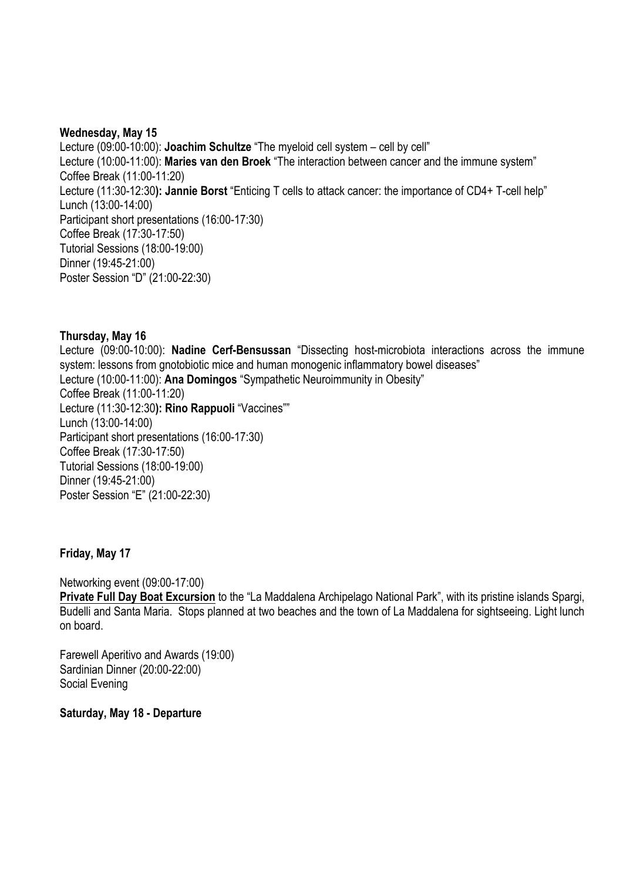#### **Wednesday, May 15**

Lecture (09:00-10:00): **Joachim Schultze** "The myeloid cell system – cell by cell" Lecture (10:00-11:00): **Maries van den Broek** "The interaction between cancer and the immune system" Coffee Break (11:00-11:20) Lecture (11:30-12:30**): Jannie Borst** "Enticing T cells to attack cancer: the importance of CD4+ T-cell help" Lunch (13:00-14:00) Participant short presentations (16:00-17:30) Coffee Break (17:30-17:50) Tutorial Sessions (18:00-19:00) Dinner (19:45-21:00) Poster Session "D" (21:00-22:30)

#### **Thursday, May 16**

Lecture (09:00-10:00): **Nadine Cerf-Bensussan** "Dissecting host-microbiota interactions across the immune system: lessons from gnotobiotic mice and human monogenic inflammatory bowel diseases" Lecture (10:00-11:00): **Ana Domingos** "Sympathetic Neuroimmunity in Obesity" Coffee Break (11:00-11:20) Lecture (11:30-12:30**): Rino Rappuoli** "Vaccines"" Lunch (13:00-14:00) Participant short presentations (16:00-17:30) Coffee Break (17:30-17:50) Tutorial Sessions (18:00-19:00) Dinner (19:45-21:00) Poster Session "E" (21:00-22:30)

### **Friday, May 17**

Networking event (09:00-17:00)

**Private Full Day Boat Excursion** to the "La Maddalena Archipelago National Park", with its pristine islands Spargi, Budelli and Santa Maria. Stops planned at two beaches and the town of La Maddalena for sightseeing. Light lunch on board.

Farewell Aperitivo and Awards (19:00) Sardinian Dinner (20:00-22:00) Social Evening

**Saturday, May 18 - Departure**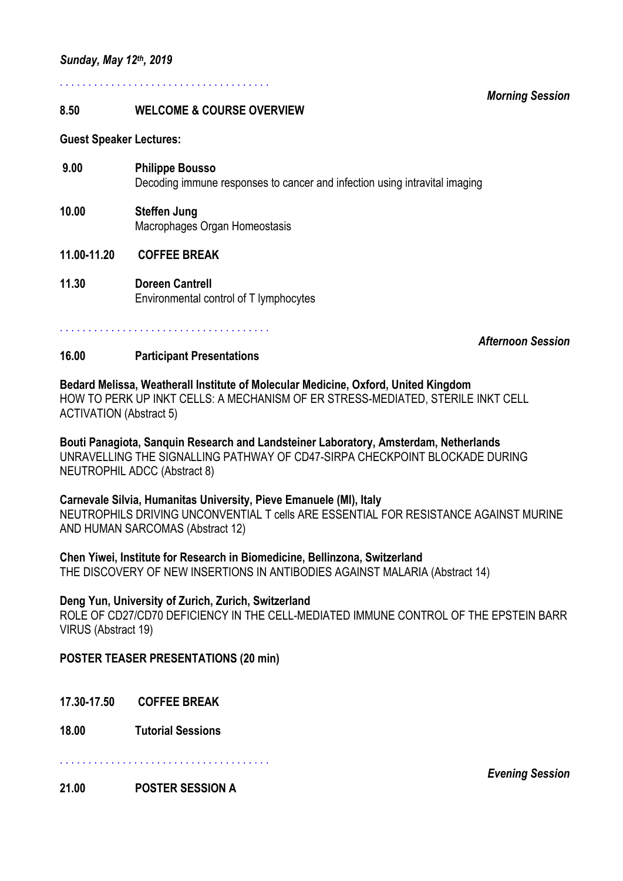. . . . . . . . . . . . . . . . . . . . . . . . . . . . . . . . . . . . .

#### **8.50 WELCOME & COURSE OVERVIEW**

**Guest Speaker Lectures:** 

- **9.00 Philippe Bousso** Decoding immune responses to cancer and infection using intravital imaging
- **10.00 Steffen Jung**  Macrophages Organ Homeostasis
- **11.00-11.20 COFFEE BREAK**
- **11.30 Doreen Cantrell Environmental control of T lymphocytes**

. . . . . . . . . . . . . . . . . . . . . . . . . . . . . . . . . . . . .

#### *Afternoon Session*

#### **16.00 Participant Presentations**

**Bedard Melissa, Weatherall Institute of Molecular Medicine, Oxford, United Kingdom**  HOW TO PERK UP INKT CELLS: A MECHANISM OF ER STRESS-MEDIATED, STERILE INKT CELL ACTIVATION (Abstract 5)

**Bouti Panagiota, Sanquin Research and Landsteiner Laboratory, Amsterdam, Netherlands**  UNRAVELLING THE SIGNALLING PATHWAY OF CD47-SIRPA CHECKPOINT BLOCKADE DURING NEUTROPHIL ADCC (Abstract 8)

#### **Carnevale Silvia, Humanitas University, Pieve Emanuele (MI), Italy**

NEUTROPHILS DRIVING UNCONVENTIAL T cells ARE ESSENTIAL FOR RESISTANCE AGAINST MURINE AND HUMAN SARCOMAS (Abstract 12)

**Chen Yiwei, Institute for Research in Biomedicine, Bellinzona, Switzerland**  THE DISCOVERY OF NEW INSERTIONS IN ANTIBODIES AGAINST MALARIA (Abstract 14)

#### **Deng Yun, University of Zurich, Zurich, Switzerland**

ROLE OF CD27/CD70 DEFICIENCY IN THE CELL-MEDIATED IMMUNE CONTROL OF THE EPSTEIN BARR VIRUS (Abstract 19)

#### **POSTER TEASER PRESENTATIONS (20 min)**

- **17.30-17.50 COFFEE BREAK**
- **18.00 Tutorial Sessions**

. . . . . . . . . . . . . . . . . . . . . . . . . . . . . . . . . . . . .

**21.00 POSTER SESSION A** 

*Morning Session* 

*Evening Session*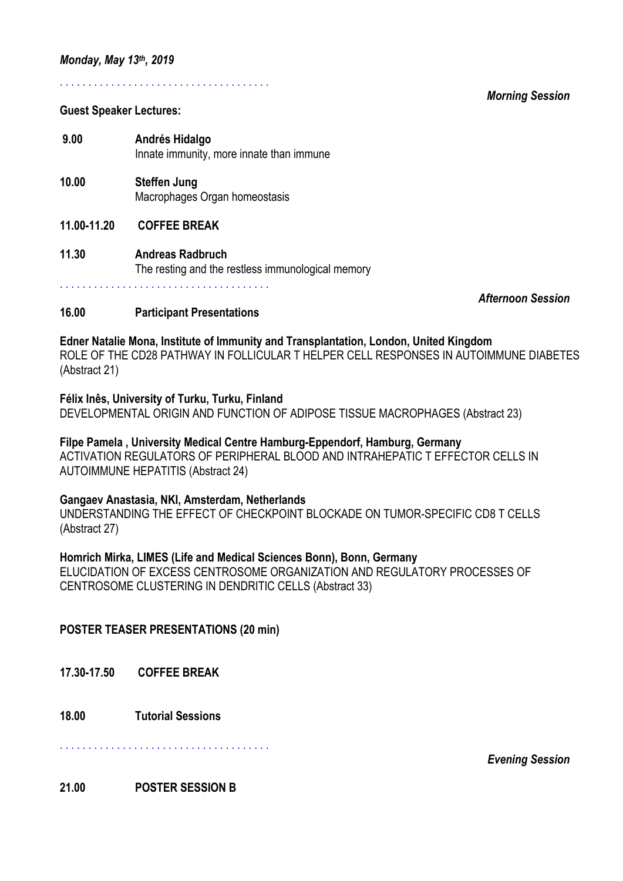# **Guest Speaker Lectures:**

 **9.00 Andrés Hidalgo**  Innate immunity, more innate than immune

. . . . . . . . . . . . . . . . . . . . . . . . . . . . . . . . . . . . .

- **10.00 Steffen Jung** Macrophages Organ homeostasis
- **11.00-11.20 COFFEE BREAK**
- **11.30 Andreas Radbruch** The resting and the restless immunological memory

. . . . . . . . . . . . . . . . . . . . . . . . . . . . . . . . . . . . .

*Afternoon Session* 

## **16.00 Participant Presentations**

## **Edner Natalie Mona, Institute of Immunity and Transplantation, London, United Kingdom**

ROLE OF THE CD28 PATHWAY IN FOLLICULAR T HELPER CELL RESPONSES IN AUTOIMMUNE DIABETES (Abstract 21)

**Félix Inês, University of Turku, Turku, Finland**  DEVELOPMENTAL ORIGIN AND FUNCTION OF ADIPOSE TISSUE MACROPHAGES (Abstract 23)

## **Filpe Pamela , University Medical Centre Hamburg-Eppendorf, Hamburg, Germany**

ACTIVATION REGULATORS OF PERIPHERAL BLOOD AND INTRAHEPATIC T EFFECTOR CELLS IN AUTOIMMUNE HEPATITIS (Abstract 24)

### **Gangaev Anastasia, NKI, Amsterdam, Netherlands**

UNDERSTANDING THE EFFECT OF CHECKPOINT BLOCKADE ON TUMOR-SPECIFIC CD8 T CELLS (Abstract 27)

### **Homrich Mirka, LIMES (Life and Medical Sciences Bonn), Bonn, Germany**

ELUCIDATION OF EXCESS CENTROSOME ORGANIZATION AND REGULATORY PROCESSES OF CENTROSOME CLUSTERING IN DENDRITIC CELLS (Abstract 33)

### **POSTER TEASER PRESENTATIONS (20 min)**

**17.30-17.50 COFFEE BREAK** 

**18.00 Tutorial Sessions** 

. . . . . . . . . . . . . . . . . . . . . . . . . . . . . . . . . . . . .

*Evening Session* 

**21.00 POSTER SESSION B** 

#### *Morning Session*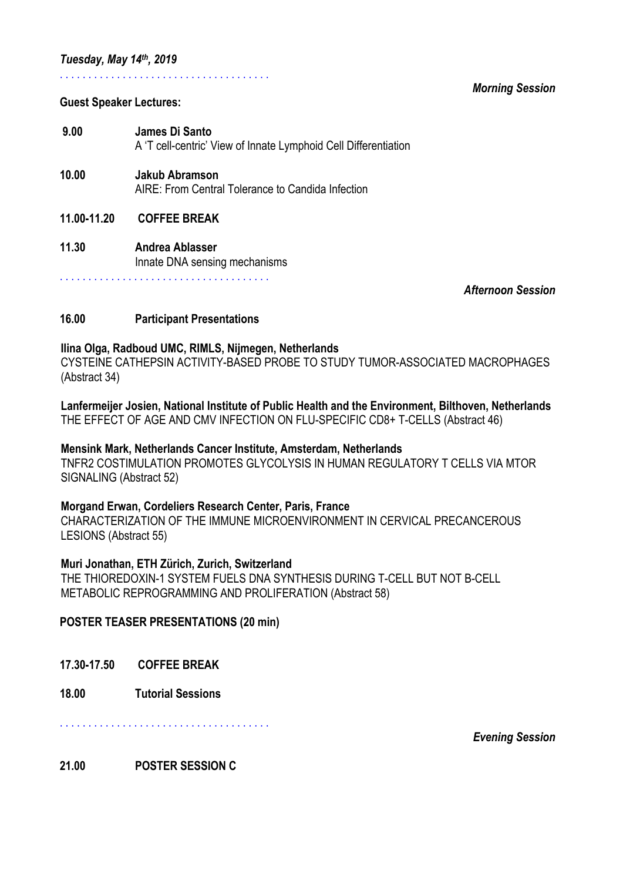### . . . . . . . . . . . . . . . . . . . . . . . . . . . . . . . . . . . . .

#### *Morning Session*

#### **Guest Speaker Lectures:**

- **9.00 James Di Santo**  A 'T cell-centric' View of Innate Lymphoid Cell Differentiation
- **10.00 Jakub Abramson** AIRE: From Central Tolerance to Candida Infection
- **11.00-11.20 COFFEE BREAK**
- **11.30 Andrea Ablasser**  Innate DNA sensing mechanisms

. . . . . . . . . . . . . . . . . . . . . . . . . . . . . . . . . . . . .

*Afternoon Session* 

## **16.00 Participant Presentations**

### **Ilina Olga, Radboud UMC, RIMLS, Nijmegen, Netherlands**

CYSTEINE CATHEPSIN ACTIVITY-BASED PROBE TO STUDY TUMOR-ASSOCIATED MACROPHAGES (Abstract 34)

**Lanfermeijer Josien, National Institute of Public Health and the Environment, Bilthoven, Netherlands**  THE EFFECT OF AGE AND CMV INFECTION ON FLU-SPECIFIC CD8+ T-CELLS (Abstract 46)

### **Mensink Mark, Netherlands Cancer Institute, Amsterdam, Netherlands**

TNFR2 COSTIMULATION PROMOTES GLYCOLYSIS IN HUMAN REGULATORY T CELLS VIA MTOR SIGNALING (Abstract 52)

### **Morgand Erwan, Cordeliers Research Center, Paris, France**

CHARACTERIZATION OF THE IMMUNE MICROENVIRONMENT IN CERVICAL PRECANCEROUS LESIONS (Abstract 55)

### **Muri Jonathan, ETH Zürich, Zurich, Switzerland**

THE THIOREDOXIN-1 SYSTEM FUELS DNA SYNTHESIS DURING T-CELL BUT NOT B-CELL METABOLIC REPROGRAMMING AND PROLIFERATION (Abstract 58)

### **POSTER TEASER PRESENTATIONS (20 min)**

- **17.30-17.50 COFFEE BREAK**
- **18.00 Tutorial Sessions**

. . . . . . . . . . . . . . . . . . . . . . . . . . . . . . . . . . . . .

*Evening Session* 

### **21.00 POSTER SESSION C**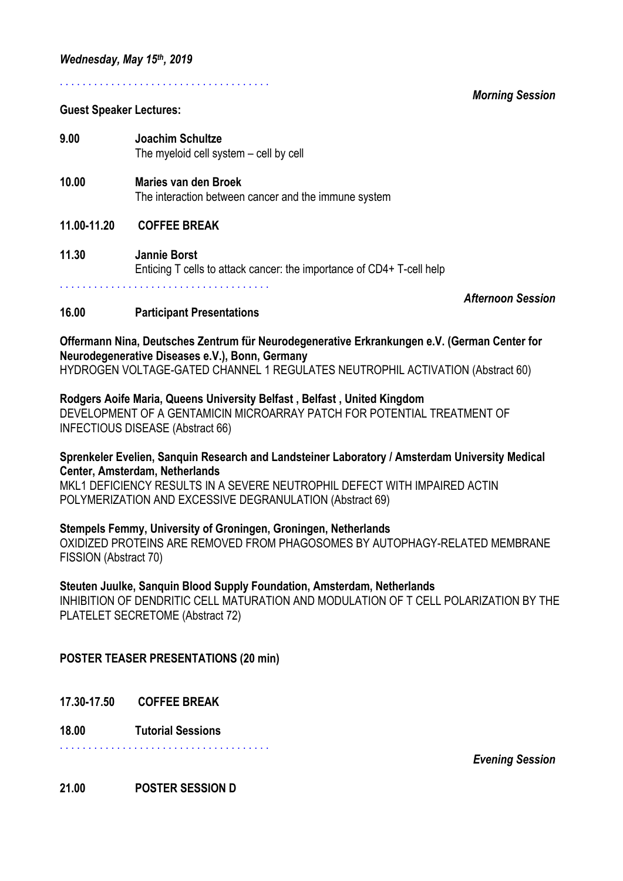. . . . . . . . . . . . . . . . . . . . . . . . . . . . . . . . . . . . .

#### **Guest Speaker Lectures:**

**9.00 Joachim Schultze**  The myeloid cell system – cell by cell

- **10.00 Maries van den Broek**  The interaction between cancer and the immune system
- **11.00-11.20 COFFEE BREAK**
- **11.30 Jannie Borst** Enticing T cells to attack cancer: the importance of CD4+ T-cell help . . . . . . . . . . . . . . . . . . . . . . . . . . . . . . . . . . . . .

*Afternoon Session* 

#### **16.00 Participant Presentations**

# **Offermann Nina, Deutsches Zentrum für Neurodegenerative Erkrankungen e.V. (German Center for Neurodegenerative Diseases e.V.), Bonn, Germany**

HYDROGEN VOLTAGE-GATED CHANNEL 1 REGULATES NEUTROPHIL ACTIVATION (Abstract 60)

#### **Rodgers Aoife Maria, Queens University Belfast , Belfast , United Kingdom**

DEVELOPMENT OF A GENTAMICIN MICROARRAY PATCH FOR POTENTIAL TREATMENT OF INFECTIOUS DISEASE (Abstract 66)

#### **Sprenkeler Evelien, Sanquin Research and Landsteiner Laboratory / Amsterdam University Medical Center, Amsterdam, Netherlands**

MKL1 DEFICIENCY RESULTS IN A SEVERE NEUTROPHIL DEFECT WITH IMPAIRED ACTIN POLYMERIZATION AND EXCESSIVE DEGRANULATION (Abstract 69)

#### **Stempels Femmy, University of Groningen, Groningen, Netherlands**

OXIDIZED PROTEINS ARE REMOVED FROM PHAGOSOMES BY AUTOPHAGY-RELATED MEMBRANE FISSION (Abstract 70)

#### **Steuten Juulke, Sanquin Blood Supply Foundation, Amsterdam, Netherlands**

INHIBITION OF DENDRITIC CELL MATURATION AND MODULATION OF T CELL POLARIZATION BY THE PLATELET SECRETOME (Abstract 72)

## **POSTER TEASER PRESENTATIONS (20 min)**

- **17.30-17.50 COFFEE BREAK**
- **18.00 Tutorial Sessions**

. . . . . . . . . . . . . . . . . . . . . . . . . . . . . . . . . . . . .

*Evening Session* 

### **21.00 POSTER SESSION D**

*Morning Session*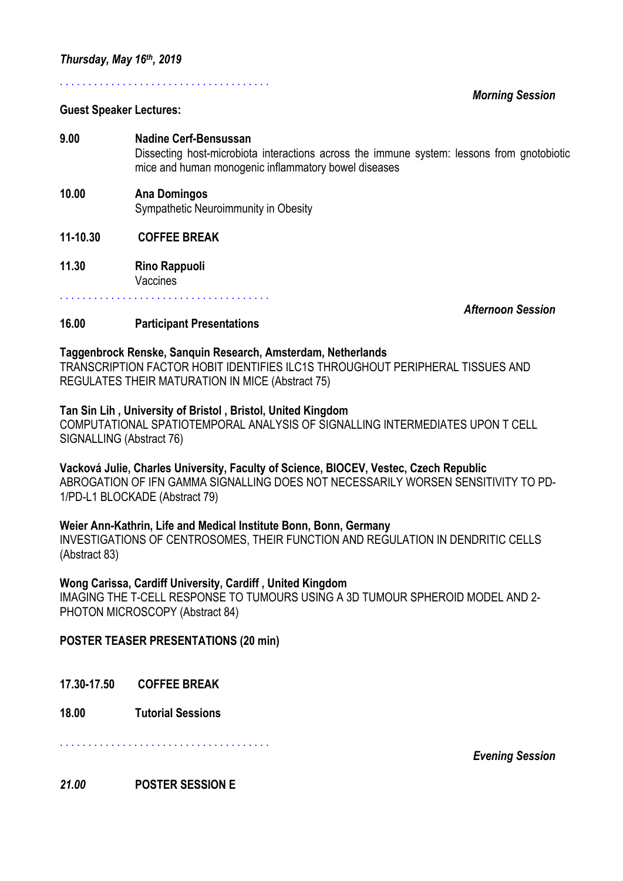## **Guest Speaker Lectures:**

# **9.00 Nadine Cerf-Bensussan** Dissecting host-microbiota interactions across the immune system: lessons from gnotobiotic mice and human monogenic inflammatory bowel diseases

#### **10.00 Ana Domingos** Sympathetic Neuroimmunity in Obesity

. . . . . . . . . . . . . . . . . . . . . . . . . . . . . . . . . . . . .

# **11-10.30 COFFEE BREAK**

**11.30 Rino Rappuoli** Vaccines

. . . . . . . . . . . . . . . . . . . . . . . . . . . . . . . . . . . . .

*Afternoon Session* 

*Morning Session* 

## **16.00 Participant Presentations**

### **Taggenbrock Renske, Sanquin Research, Amsterdam, Netherlands**

TRANSCRIPTION FACTOR HOBIT IDENTIFIES ILC1S THROUGHOUT PERIPHERAL TISSUES AND REGULATES THEIR MATURATION IN MICE (Abstract 75)

## **Tan Sin Lih , University of Bristol , Bristol, United Kingdom**

COMPUTATIONAL SPATIOTEMPORAL ANALYSIS OF SIGNALLING INTERMEDIATES UPON T CELL SIGNALLING (Abstract 76)

#### **Vacková Julie, Charles University, Faculty of Science, BIOCEV, Vestec, Czech Republic**  ABROGATION OF IFN GAMMA SIGNALLING DOES NOT NECESSARILY WORSEN SENSITIVITY TO PD-1/PD-L1 BLOCKADE (Abstract 79)

# **Weier Ann-Kathrin, Life and Medical Institute Bonn, Bonn, Germany**

INVESTIGATIONS OF CENTROSOMES, THEIR FUNCTION AND REGULATION IN DENDRITIC CELLS (Abstract 83)

# **Wong Carissa, Cardiff University, Cardiff , United Kingdom**

IMAGING THE T-CELL RESPONSE TO TUMOURS USING A 3D TUMOUR SPHEROID MODEL AND 2- PHOTON MICROSCOPY (Abstract 84)

# **POSTER TEASER PRESENTATIONS (20 min)**

**17.30-17.50 COFFEE BREAK** 

**18.00 Tutorial Sessions**

. . . . . . . . . . . . . . . . . . . . . . . . . . . . . . . . . . . . .

*Evening Session* 

### *21.00* **POSTER SESSION E**